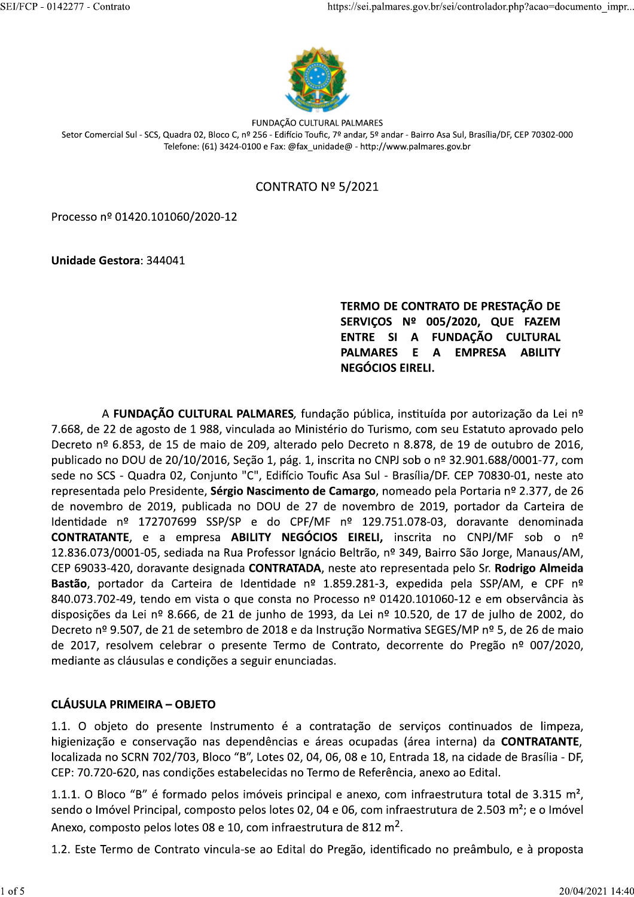

FUNDAÇÃO CULTURAL PALMARES Setor Comercial Sul - SCS, Quadra 02, Bloco C, nº 256 - Edifício Toufic, 7º andar, 5º andar - Bairro Asa Sul, Brasília/DF, CEP 70302-000 Telefone: (61) 3424-0100 e Fax: @fax\_unidade@ - http://www.palmares.gov.br

# CONTRATO Nº 5/2021

Processo nº 01420.101060/2020-12

**Unidade Gestora: 344041** 

TERMO DE CONTRATO DE PRESTAÇÃO DE SERVIÇOS Nº 005/2020, QUE FAZEM ENTRE SI A FUNDAÇÃO CULTURAL PALMARES E A **EMPRESA ABILITY** NEGÓCIOS EIRELI.

A FUNDAÇÃO CULTURAL PALMARES, fundação pública, instituída por autorização da Lei nº 7.668, de 22 de agosto de 1 988, vinculada ao Ministério do Turismo, com seu Estatuto aprovado pelo Decreto nº 6.853, de 15 de maio de 209, alterado pelo Decreto n 8.878, de 19 de outubro de 2016, publicado no DOU de 20/10/2016, Seção 1, pág. 1, inscrita no CNPJ sob o nº 32.901.688/0001-77, com sede no SCS - Quadra 02, Conjunto "C", Edifício Toufic Asa Sul - Brasília/DF. CEP 70830-01, neste ato representada pelo Presidente, Sérgio Nascimento de Camargo, nomeado pela Portaria nº 2.377, de 26 de novembro de 2019, publicada no DOU de 27 de novembro de 2019, portador da Carteira de Identidade nº 172707699 SSP/SP e do CPF/MF nº 129.751.078-03, doravante denominada CONTRATANTE, e a empresa ABILITY NEGÓCIOS EIRELI, inscrita no CNPJ/MF sob o nº 12.836.073/0001-05, sediada na Rua Professor Ignácio Beltrão, nº 349, Bairro São Jorge, Manaus/AM, CEP 69033-420, doravante designada CONTRATADA, neste ato representada pelo Sr. Rodrigo Almeida Bastão, portador da Carteira de Identidade nº 1.859.281-3, expedida pela SSP/AM, e CPF nº 840.073.702-49, tendo em vista o que consta no Processo nº 01420.101060-12 e em observância às disposições da Lei nº 8.666, de 21 de junho de 1993, da Lei nº 10.520, de 17 de julho de 2002, do Decreto nº 9.507, de 21 de setembro de 2018 e da Instrução Normativa SEGES/MP nº 5, de 26 de maio de 2017, resolvem celebrar o presente Termo de Contrato, decorrente do Pregão nº 007/2020, mediante as cláusulas e condições a seguir enunciadas.

#### **CLÁUSULA PRIMEIRA - OBJETO**

1.1. O objeto do presente Instrumento é a contratação de serviços continuados de limpeza, higienização e conservação nas dependências e áreas ocupadas (área interna) da CONTRATANTE, localizada no SCRN 702/703, Bloco "B", Lotes 02, 04, 06, 08 e 10, Entrada 18, na cidade de Brasília - DF, CEP: 70.720-620, nas condições estabelecidas no Termo de Referência, anexo ao Edital.

1.1.1. O Bloco "B" é formado pelos imóveis principal e anexo, com infraestrutura total de 3.315 m<sup>2</sup>, sendo o Imóvel Principal, composto pelos lotes 02, 04 e 06, com infraestrutura de 2.503 m<sup>2</sup>; e o Imóvel Anexo, composto pelos lotes 08 e 10, com infraestrutura de 812 m<sup>2</sup>.

1.2. Este Termo de Contrato vincula-se ao Edital do Pregão, identificado no preâmbulo, e à proposta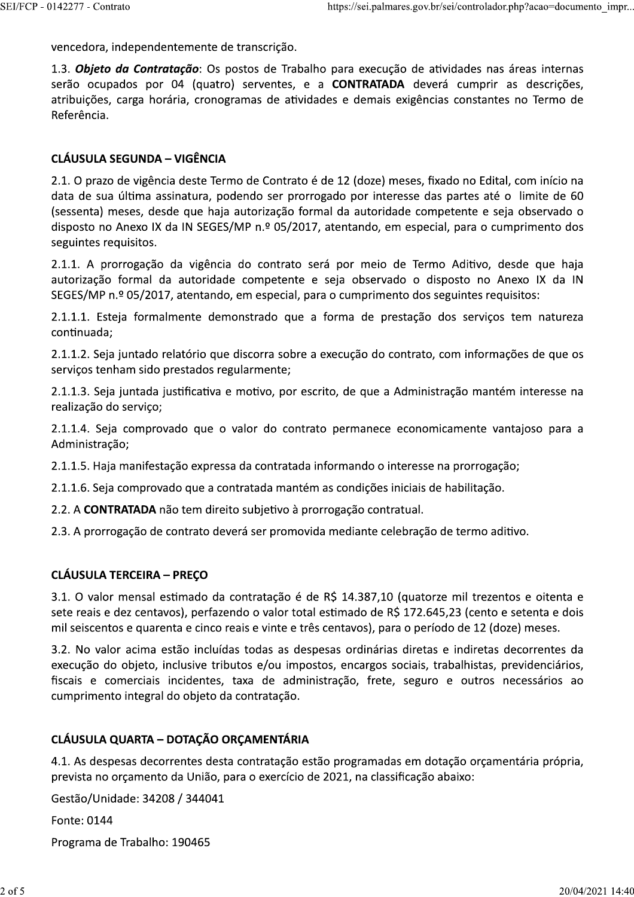vencedora, independentemente de transcrição.

1.3. Objeto da Contratação: Os postos de Trabalho para execução de atividades nas áreas internas serão ocupados por 04 (quatro) serventes, e a CONTRATADA deverá cumprir as descrições, atribuições, carga horária, cronogramas de atividades e demais exigências constantes no Termo de Referência.

#### **CLÁUSULA SEGUNDA – VIGÊNCIA**

2.1. O prazo de vigência deste Termo de Contrato é de 12 (doze) meses, fixado no Edital, com início na data de sua última assinatura, podendo ser prorrogado por interesse das partes até o limite de 60 (sessenta) meses, desde que haja autorização formal da autoridade competente e seja observado o disposto no Anexo IX da IN SEGES/MP n.º 05/2017, atentando, em especial, para o cumprimento dos seguintes requisitos.

2.1.1. A prorrogação da vigência do contrato será por meio de Termo Aditivo, desde que haja autorização formal da autoridade competente e seja observado o disposto no Anexo IX da IN SEGES/MP n.º 05/2017, atentando, em especial, para o cumprimento dos seguintes requisitos:

2.1.1.1. Esteja formalmente demonstrado que a forma de prestação dos serviços tem natureza continuada;

2.1.1.2. Seja juntado relatório que discorra sobre a execução do contrato, com informações de que os serviços tenham sido prestados regularmente;

2.1.1.3. Seja juntada justificativa e motivo, por escrito, de que a Administração mantém interesse na realização do serviço;

2.1.1.4. Seja comprovado que o valor do contrato permanece economicamente vantajoso para a Administração;

2.1.1.5. Haja manifestação expressa da contratada informando o interesse na prorrogação;

2.1.1.6. Seja comprovado que a contratada mantém as condições iniciais de habilitação.

2.2. A CONTRATADA não tem direito subjetivo à prorrogação contratual.

2.3. A prorrogação de contrato deverá ser promovida mediante celebração de termo aditivo.

#### **CLÁUSULA TERCEIRA - PREÇO**

3.1. O valor mensal estimado da contratação é de R\$ 14.387,10 (quatorze mil trezentos e oitenta e sete reais e dez centavos), perfazendo o valor total estimado de R\$ 172.645,23 (cento e setenta e dois mil seiscentos e quarenta e cinco reais e vinte e três centavos), para o período de 12 (doze) meses.

3.2. No valor acima estão incluídas todas as despesas ordinárias diretas e indiretas decorrentes da execução do objeto, inclusive tributos e/ou impostos, encargos sociais, trabalhistas, previdenciários, fiscais e comerciais incidentes, taxa de administração, frete, seguro e outros necessários ao cumprimento integral do objeto da contratação.

### **CLÁUSULA QUARTA - DOTAÇÃO ORÇAMENTÁRIA**

4.1. As despesas decorrentes desta contratação estão programadas em dotação orçamentária própria, prevista no orçamento da União, para o exercício de 2021, na classificação abaixo:

Gestão/Unidade: 34208 / 344041

Fonte: 0144

Programa de Trabalho: 190465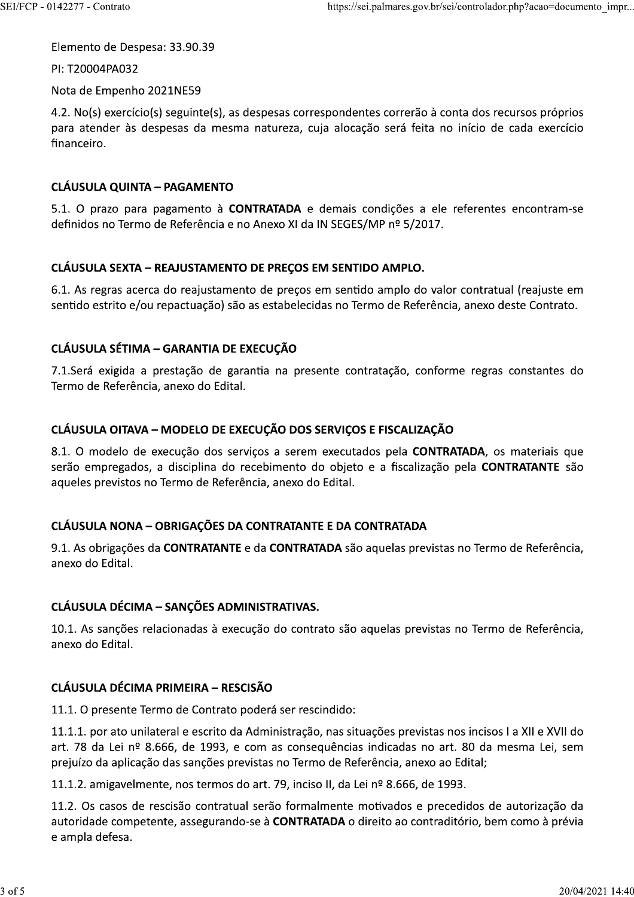Elemento de Despesa: 33.90.39

PI: T20004PA032

Nota de Empenho 2021NE59

4.2. No(s) exercicio(s) seguinte(s), as despesas correspondentes correrao a conta dos recursos proprios https://sei.palmares.gov.br/sei/controlador.php?acao=d<br>prespondentes correrão à conta dos recursos pró<br>cuja alocação será feita no início de cada exer<br>e demais condições a ele referentes encontra<br>da IN SEGES/MP nº 5/2017. para atender as despesas da mesma natureza, cuja alocação sera feita no início de cada exercício SEI/FCP - 0142277 - Contrato<br>
Elemento de Despesa: 33.90.39<br>
PI: T20004PA032<br>
Nota de Empenho 2021NE59<br>
4.2. No(s) exercício(s) seguinte(s), as de<br>
para atender às despesas da mesma<br>
financeiro.<br> **CLÁUSULA QUINTA – PAGAMEN** financeiro. e Empenho 2021NE59<br>
(s) exercício(s) seguinte(s), as despesas correspon<br>
ender às despesas da mesma natureza, cuja alí<br>
iro.<br> **JLA QUINTA – PAGAMENTO**<br>
prazo para pagamento à **CONTRATADA** e dema<br>
ps no Termo de Referência

#### CLÁUSULA QUINTA - PAGAMENTO

5.1. O prazo para pagamento a **CONTRATADA** e demais condições a ele referentes encontram-se definidos no Termo de Referencia e no Anexo XI da IN SEGES/MP nº 5/2017.

### CLÁUSULA SEXTA - REAJUSTAMENTO DE PREÇOS EM SENTIDO AMPLO.

6.1. As regras acerca do reajustamento de preços em sentido amplo do valor contratual (reajuste em sentido estrito e/ou repactuação) são as estabelecidas no Termo de Referencia, anexo deste Contrato.

## CLÁUSULA SÉTIMA - GARANTIA DE EXECUÇÃO

/.1.Sera exigida a prestação de garantia na presente contratação, conforme regras constantes do Termo de Referencia, anexo do Edital.

### CLÁUSULA OITAVA - MODELO DE EXECUÇÃO DOS SERVIÇOS E FISCALIZAÇÃO

8.1. O modelo de execução dos serviços a serem executados pela **CONTRATADA**, os materiais que serao empregados, a disciplina do recebimento do objeto e a fiscalização pela **CONTRAIANTE** são aqueles previstos no Termo de Referencia, anexo do Edital.

### CLÁUSULA NONA – OBRIGAÇÕES DA CONTRATANTE E DA CONTRATADA

9.1. As obrigações da **CONTRATANTE** e da **CONTRATADA** são aquelas previstas no Termo de Referencia, anexo do Edital.

### CLÁUSULA DÉCIMA - SANÇÕES ADMINISTRATIVAS.

10.1. As sanções relacionadas a execução do contrato são aquelas previstas no Termo de Referencia, anexo do Edital.

### CLÁUSULA DÉCIMA PRIMEIRA - RESCISÃO

11.1. O presente Termo de Contrato podera ser rescindido:

iULA NONA – OBRIGAÇÕES DA CONTRATANTE E I<br>
s obrigações da CONTRATANTE e da CONTRATADA<br>
do Edital.<br>
iULA DÉCIMA – SANÇÕES ADMINISTRATIVAS.<br>
As sanções relacionadas à execução do contrato<br>
do Edital.<br>
iULA DÉCIMA PRIMEIRA –  $11.1.1$ . por ato unilateral e escrito da Administração, nas situações previstas nos incisos Fa XII e XVII do  $\,$ art. 78 da Lei nº 8.666, de 1993, e com as consequencias indicadas no art. 80 da mesma Lei, sem prejuizo da aplicação das sanções previstas no Termo de Referencia, anexo ao Edital; e Termo de Contrato poderá ser rescindido:<br>
inilateral e escrito da Administração, nas situações<br>
<sup>e</sup> 8.666, de 1993, e com as consequências indicação das sanções previstas no Termo de Referênci<br>
mente, nos termos do art. 11.1. O presente Termo de Contrato poderá ser rescindido:<br>11.1.1. por ato unilateral e escrito da Administração, nas situações previstas nos incisos l a XII e XVII do<br>art. 78 da Lei nº 8.666, de 1993, e com as consequência

 $11.1.2$ . amigavelmente, nos termos do art. 79, inciso II, da Lei nº 8.666, de 1993.

 $11.2$ . Os casos de rescisão contratual serão formalmente motivados e precedidos de autorização da  $\,$ autoridade competente, assegurando-se a **CONTRATADA** o direito ao contraditorio, ben ampla defesa.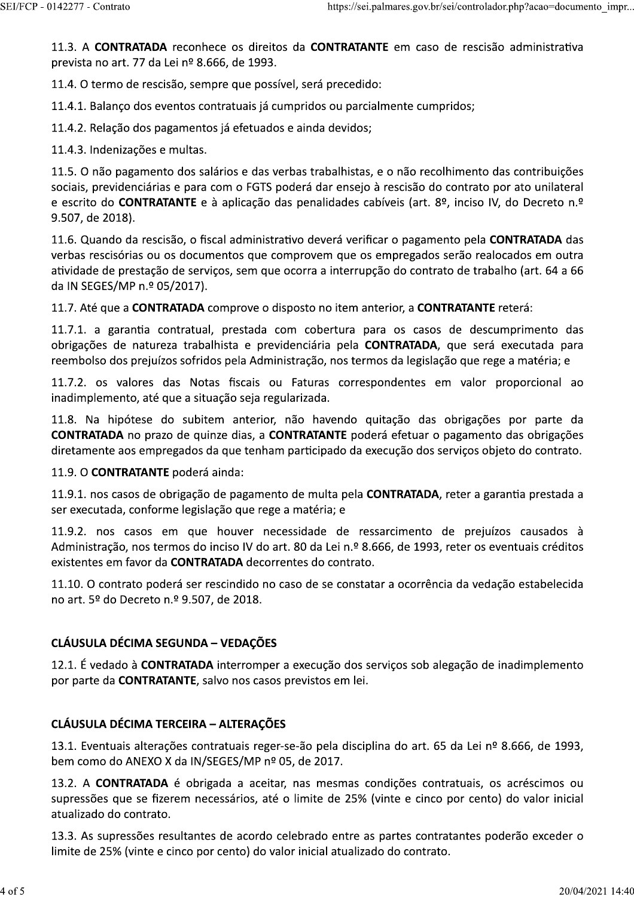11.3. A CONTRATADA reconhece os direitos da CONTRATANTE em caso de rescisão administrativa prevista no art. 77 da Lei nº 8.666, de 1993.

11.4. O termo de rescisão, sempre que possível, será precedido:

11.4.1. Balanço dos eventos contratuais já cumpridos ou parcialmente cumpridos;

11.4.2. Relação dos pagamentos já efetuados e ainda devidos;

11.4.3. Indenizações e multas.

11.5. O não pagamento dos salários e das verbas trabalhistas, e o não recolhimento das contribuições sociais, previdenciárias e para com o FGTS poderá dar ensejo à rescisão do contrato por ato unilateral e escrito do CONTRATANTE e à aplicação das penalidades cabíveis (art. 8º, inciso IV, do Decreto n.º 9.507, de 2018).

11.6. Quando da rescisão, o fiscal administrativo deverá verificar o pagamento pela CONTRATADA das verbas rescisórias ou os documentos que comprovem que os empregados serão realocados em outra atividade de prestação de serviços, sem que ocorra a interrupção do contrato de trabalho (art. 64 a 66 da IN SEGES/MP n.º 05/2017).

11.7. Até que a CONTRATADA comprove o disposto no item anterior, a CONTRATANTE reterá:

11.7.1. a garantia contratual, prestada com cobertura para os casos de descumprimento das obrigações de natureza trabalhista e previdenciária pela CONTRATADA, que será executada para reembolso dos prejuízos sofridos pela Administração, nos termos da legislação que rege a matéria; e

11.7.2. os valores das Notas fiscais ou Faturas correspondentes em valor proporcional ao inadimplemento, até que a situação seja regularizada.

11.8. Na hipótese do subitem anterior, não havendo quitação das obrigações por parte da CONTRATADA no prazo de quinze dias, a CONTRATANTE poderá efetuar o pagamento das obrigações diretamente aos empregados da que tenham participado da execução dos serviços objeto do contrato.

11.9. O CONTRATANTE poderá ainda:

11.9.1. nos casos de obrigação de pagamento de multa pela CONTRATADA, reter a garantia prestada a ser executada, conforme legislação que rege a matéria; e

11.9.2. nos casos em que houver necessidade de ressarcimento de prejuízos causados à Administração, nos termos do inciso IV do art. 80 da Lei n.º 8.666, de 1993, reter os eventuais créditos existentes em favor da CONTRATADA decorrentes do contrato.

11.10. O contrato poderá ser rescindido no caso de se constatar a ocorrência da vedação estabelecida no art. 5º do Decreto n.º 9.507, de 2018.

### CLÁUSULA DÉCIMA SEGUNDA - VEDAÇÕES

12.1. É vedado à **CONTRATADA** interromper a execução dos serviços sob alegação de inadimplemento por parte da CONTRATANTE, salvo nos casos previstos em lei.

### **CLÁUSULA DÉCIMA TERCEIRA - ALTERAÇÕES**

13.1. Eventuais alterações contratuais reger-se-ão pela disciplina do art. 65 da Lei nº 8.666, de 1993, bem como do ANEXO X da IN/SEGES/MP nº 05, de 2017.

13.2. A CONTRATADA é obrigada a aceitar, nas mesmas condições contratuais, os acréscimos ou supressões que se fizerem necessários, até o limite de 25% (vinte e cinco por cento) do valor inicial atualizado do contrato.

13.3. As supressões resultantes de acordo celebrado entre as partes contratantes poderão exceder o limite de 25% (vinte e cinco por cento) do valor inicial atualizado do contrato.